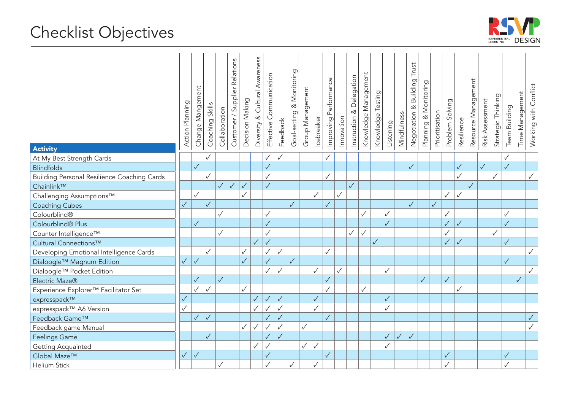

| <b>Activity</b>                                    | Action Planning | Change Mangement | Skills<br>Coaching | Collaboration | Customer / Supplier Relations | Decision Making | Diversity & Cultural Awareness | Effective Communication | Feedback     | & Monitoring<br>Goal-setting | Group Management | Icebreaker   | Improving Performance | Innovation   | Instruction & Delegation | Knowledge Management | Knowledge Testing | Listening    | Mindfulness | Trust<br>Building<br>Negotiation & | Planning & Monitoring | Prioritisation | Problem Solving | Resilience   | Resource Management | Risk Assessment | Strategic Thinking | Team Building | Time Management | Working with Conflict |
|----------------------------------------------------|-----------------|------------------|--------------------|---------------|-------------------------------|-----------------|--------------------------------|-------------------------|--------------|------------------------------|------------------|--------------|-----------------------|--------------|--------------------------|----------------------|-------------------|--------------|-------------|------------------------------------|-----------------------|----------------|-----------------|--------------|---------------------|-----------------|--------------------|---------------|-----------------|-----------------------|
| At My Best Strength Cards                          |                 |                  | $\checkmark$       |               |                               |                 |                                | $\checkmark$            |              |                              |                  |              | $\checkmark$          |              |                          |                      |                   |              |             |                                    |                       |                |                 |              |                     |                 |                    | $\checkmark$  |                 |                       |
| <b>Blindfolds</b>                                  |                 | $\sqrt{}$        |                    |               |                               |                 |                                | $\sqrt{}$               |              |                              |                  |              |                       |              |                          |                      |                   |              |             | $\sqrt{}$                          |                       |                |                 | $\sqrt{}$    |                     | $\sqrt{}$       |                    | $\sqrt{}$     |                 |                       |
| <b>Building Personal Resilience Coaching Cards</b> |                 |                  | $\checkmark$       |               |                               |                 |                                | $\checkmark$            |              |                              |                  |              | $\checkmark$          |              |                          |                      |                   |              |             |                                    |                       |                |                 | $\checkmark$ |                     |                 | $\checkmark$       |               |                 | $\checkmark$          |
| Chainlink™                                         |                 |                  |                    | $\checkmark$  | $\checkmark$                  | $\sqrt{}$       |                                | $\sqrt{}$               |              |                              |                  |              |                       |              | $\checkmark$             |                      |                   |              |             |                                    |                       |                |                 |              | $\checkmark$        |                 |                    |               |                 |                       |
| Challenging Assumptions™                           |                 | $\checkmark$     |                    |               |                               | $\checkmark$    |                                |                         |              |                              |                  | $\checkmark$ |                       | $\checkmark$ |                          |                      |                   |              |             |                                    |                       |                | $\checkmark$    | $\checkmark$ |                     |                 |                    |               |                 |                       |
| <b>Coaching Cubes</b>                              | $\checkmark$    |                  | $\checkmark$       |               |                               |                 |                                |                         |              | $\sqrt{}$                    |                  |              | $\sqrt{}$             |              |                          |                      |                   |              |             | $\sqrt{}$                          |                       | $\checkmark$   |                 |              |                     |                 |                    |               |                 |                       |
| Colourblind®                                       |                 |                  |                    | $\checkmark$  |                               |                 |                                | $\checkmark$            |              |                              |                  |              |                       |              |                          | $\checkmark$         |                   | $\checkmark$ |             |                                    |                       |                | $\checkmark$    |              |                     |                 |                    | $\checkmark$  |                 |                       |
| Colourblind <sup>®</sup> Plus                      |                 | $\sqrt{}$        |                    |               |                               |                 |                                | $\checkmark$            |              |                              |                  |              |                       |              |                          |                      |                   | $\checkmark$ |             |                                    |                       |                | $\sqrt{}$       | $\checkmark$ |                     |                 |                    | $\sqrt{}$     |                 |                       |
| Counter Intelligence™                              |                 |                  |                    | $\checkmark$  |                               |                 |                                | ✓                       |              |                              |                  |              |                       |              | ✓                        | $\checkmark$         |                   |              |             |                                    |                       |                |                 |              |                     |                 | ✓                  |               |                 |                       |
| Cultural Connections™                              |                 |                  |                    |               |                               |                 | $\sqrt{}$                      | $\sqrt{}$               |              |                              |                  |              |                       |              |                          |                      | $\checkmark$      |              |             |                                    |                       |                | $\sqrt{}$       | $\sqrt{}$    |                     |                 |                    | $\sqrt{}$     |                 |                       |
| Developing Emotional Intelligence Cards            |                 |                  | $\checkmark$       |               |                               | $\checkmark$    |                                | $\checkmark$            | $\checkmark$ |                              |                  |              | $\checkmark$          |              |                          |                      |                   |              |             |                                    |                       |                |                 |              |                     |                 |                    |               |                 | $\checkmark$          |
| Dialoogle™ Magnum Edition                          | $\checkmark$    | $\checkmark$     |                    |               |                               | $\checkmark$    |                                | $\sqrt{}$               |              | $\checkmark$                 |                  |              |                       |              |                          |                      |                   |              |             |                                    |                       |                |                 |              |                     |                 |                    | $\checkmark$  |                 |                       |
| Dialoogle™ Pocket Edition                          |                 |                  |                    |               |                               |                 |                                | $\checkmark$            | $\checkmark$ |                              |                  | $\checkmark$ |                       | $\checkmark$ |                          |                      |                   | $\checkmark$ |             |                                    |                       |                |                 |              |                     |                 |                    |               |                 | $\checkmark$          |
| Electric Maze®                                     |                 | $\sqrt{}$        |                    | $\checkmark$  |                               |                 |                                |                         |              |                              |                  |              | $\checkmark$          |              |                          |                      |                   |              |             |                                    | $\checkmark$          |                | $\sqrt{}$       |              |                     |                 |                    |               | $\sqrt{}$       |                       |
| Experience Explorer™ Facilitator Set               |                 | $\checkmark$     | $\checkmark$       |               |                               | $\checkmark$    |                                |                         |              |                              |                  |              | $\checkmark$          |              |                          | $\checkmark$         |                   |              |             |                                    |                       |                |                 | $\checkmark$ |                     |                 |                    |               |                 |                       |
| expresspack™                                       | $\checkmark$    |                  |                    |               |                               |                 | $\checkmark$                   | $\checkmark$            | $\checkmark$ |                              |                  | $\checkmark$ |                       |              |                          |                      |                   | $\checkmark$ |             |                                    |                       |                |                 |              |                     |                 |                    |               |                 |                       |
| expresspack™ A6 Version                            | $\checkmark$    |                  |                    |               |                               |                 | $\checkmark$                   | $\checkmark$            | $\checkmark$ |                              |                  | $\checkmark$ |                       |              |                          |                      |                   | $\checkmark$ |             |                                    |                       |                |                 |              |                     |                 |                    |               |                 |                       |
| Feedback Game™                                     |                 | $\sqrt{}$        | $\checkmark$       |               |                               |                 |                                | $\sqrt{}$               |              |                              |                  |              | $\sqrt{}$             |              |                          |                      |                   |              |             |                                    |                       |                |                 |              |                     |                 |                    |               |                 | $\checkmark$          |
| Feedback game Manual                               |                 |                  |                    |               |                               | $\checkmark$    | $\checkmark$                   | $\checkmark$            | $\checkmark$ |                              | $\checkmark$     |              |                       |              |                          |                      |                   |              |             |                                    |                       |                |                 |              |                     |                 |                    |               |                 | $\checkmark$          |
| <b>Feelings Game</b>                               |                 |                  | $\checkmark$       |               |                               |                 |                                | $\checkmark$            | $\sqrt{}$    |                              |                  |              |                       |              |                          |                      |                   | $\checkmark$ | $\sqrt{}$   | $\sqrt{}$                          |                       |                |                 |              |                     |                 |                    |               |                 |                       |
| Getting Acquainted                                 |                 |                  |                    |               |                               |                 | ✓                              | $\checkmark$            |              |                              | $\checkmark$     | $\checkmark$ |                       |              |                          |                      |                   | $\checkmark$ |             |                                    |                       |                |                 |              |                     |                 |                    |               |                 |                       |
| Global Maze™                                       | $\checkmark$    | $\checkmark$     |                    |               |                               |                 |                                | $\checkmark$            |              |                              |                  |              | $\checkmark$          |              |                          |                      |                   |              |             |                                    |                       |                | $\checkmark$    |              |                     |                 |                    | $\checkmark$  |                 |                       |
| <b>Helium Stick</b>                                |                 |                  |                    | $\checkmark$  |                               |                 |                                | $\checkmark$            |              | $\checkmark$                 |                  |              |                       |              |                          |                      |                   |              |             |                                    |                       |                | $\checkmark$    |              |                     |                 |                    | $\checkmark$  |                 |                       |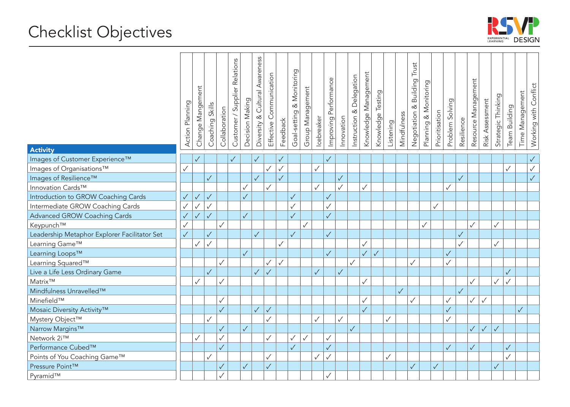

|                                              | Action Planning | Change Mangement | Skills<br>Coaching | Collaboration | Customer / Supplier Relations | Decision Making | Awareness<br>Cultural<br>$\propto$<br>Diversity | Communication<br>Effective | Feedback     | Monitoring<br>త<br>Goal-setting | Group Management | Icebreaker   | Performance<br>Improving | Innovation   | Delegation<br>൪<br>Instruction | Knowledge Management | Testing<br>Knowledge | Listening    | Mindfulness  | Trust<br>Building<br>Negotiation & | Planning & Monitoring | Prioritisation | Problem Solving | Resilience   | Resource Management | Risk Assessment | Strategic Thinking | Team Building | Time Management | Working with Conflict |
|----------------------------------------------|-----------------|------------------|--------------------|---------------|-------------------------------|-----------------|-------------------------------------------------|----------------------------|--------------|---------------------------------|------------------|--------------|--------------------------|--------------|--------------------------------|----------------------|----------------------|--------------|--------------|------------------------------------|-----------------------|----------------|-----------------|--------------|---------------------|-----------------|--------------------|---------------|-----------------|-----------------------|
| <b>Activity</b>                              |                 |                  |                    |               |                               |                 |                                                 |                            |              |                                 |                  |              |                          |              |                                |                      |                      |              |              |                                    |                       |                |                 |              |                     |                 |                    |               |                 |                       |
| Images of Customer Experience™               |                 | $\sqrt{}$        |                    |               | $\checkmark$                  |                 | $\checkmark$                                    |                            | $\checkmark$ |                                 |                  |              | $\checkmark$             |              |                                |                      |                      |              |              |                                    |                       |                |                 |              |                     |                 |                    |               |                 | $\checkmark$          |
| Images of Organisations™                     | ✓               |                  |                    |               |                               |                 |                                                 | $\checkmark$               | $\checkmark$ |                                 |                  | $\checkmark$ |                          |              |                                |                      |                      |              |              |                                    |                       |                |                 |              |                     |                 |                    | $\checkmark$  |                 | $\checkmark$          |
| Images of Resilience™                        |                 |                  | $\checkmark$       |               |                               |                 | $\sqrt{}$                                       |                            | $\sqrt{}$    |                                 |                  |              |                          | $\checkmark$ |                                |                      |                      |              |              |                                    |                       |                |                 | $\checkmark$ |                     |                 |                    |               |                 | $\checkmark$          |
| Innovation Cards™                            |                 |                  |                    |               |                               | $\checkmark$    |                                                 | $\checkmark$               |              |                                 |                  | $\checkmark$ |                          | $\checkmark$ |                                | $\checkmark$         |                      |              |              |                                    |                       |                | ✓               |              |                     |                 |                    |               |                 |                       |
| Introduction to GROW Coaching Cards          | $\sqrt{}$       | $\sqrt{}$        | $\sqrt{}$          |               |                               | $\sqrt{}$       |                                                 |                            |              | $\checkmark$                    |                  |              | $\checkmark$             |              |                                |                      |                      |              |              |                                    |                       |                |                 |              |                     |                 |                    |               |                 |                       |
| Intermediate GROW Coaching Cards             |                 | $\checkmark$     | $\checkmark$       |               |                               |                 |                                                 |                            |              | $\checkmark$                    |                  |              | $\checkmark$             |              |                                |                      |                      |              |              |                                    |                       | $\checkmark$   |                 |              |                     |                 |                    |               |                 |                       |
| <b>Advanced GROW Coaching Cards</b>          | $\checkmark$    | $\sqrt{}$        | $\sqrt{}$          |               |                               | $\checkmark$    |                                                 |                            |              | $\checkmark$                    |                  |              | $\checkmark$             |              |                                |                      |                      |              |              |                                    |                       |                |                 |              |                     |                 |                    |               |                 |                       |
| Keypunch™                                    |                 |                  |                    | $\checkmark$  |                               |                 |                                                 |                            |              |                                 | $\checkmark$     |              |                          |              |                                |                      |                      |              |              |                                    | $\checkmark$          |                |                 |              | $\checkmark$        |                 | $\checkmark$       |               |                 |                       |
| Leadership Metaphor Explorer Facilitator Set | $\sqrt{}$       |                  | $\sqrt{}$          |               |                               |                 | $\checkmark$                                    |                            |              | $\checkmark$                    |                  |              | $\checkmark$             |              |                                |                      |                      |              |              |                                    |                       |                |                 | $\checkmark$ |                     |                 |                    |               |                 |                       |
| Learning Game™                               |                 | $\checkmark$     | $\checkmark$       |               |                               |                 |                                                 |                            | $\checkmark$ |                                 |                  |              |                          |              |                                | $\checkmark$         |                      |              |              |                                    |                       |                |                 | $\checkmark$ |                     |                 | $\checkmark$       |               |                 |                       |
| Learning Loops™                              |                 |                  |                    |               |                               | $\checkmark$    |                                                 |                            |              |                                 |                  |              | $\checkmark$             |              |                                | $\checkmark$         | $\sqrt{}$            |              |              |                                    |                       |                | $\checkmark$    |              |                     |                 |                    |               |                 |                       |
| Learning Squared™                            |                 |                  |                    | $\checkmark$  |                               |                 |                                                 | $\checkmark$               | $\checkmark$ |                                 |                  |              |                          |              | $\checkmark$                   |                      |                      |              |              | $\checkmark$                       |                       |                | $\checkmark$    |              |                     |                 |                    |               |                 |                       |
| Live a Life Less Ordinary Game               |                 |                  | $\sqrt{}$          |               |                               |                 | $\checkmark$                                    | $\checkmark$               |              |                                 |                  | $\checkmark$ |                          | $\checkmark$ |                                |                      |                      |              |              |                                    |                       |                |                 |              |                     |                 |                    | $\checkmark$  |                 |                       |
| Matrix™                                      |                 | $\checkmark$     |                    | $\checkmark$  |                               |                 |                                                 |                            |              |                                 |                  |              |                          |              |                                | $\checkmark$         |                      |              |              |                                    |                       |                |                 |              | $\checkmark$        |                 | $\checkmark$       | $\checkmark$  |                 |                       |
| Mindfulness Unravelled™                      |                 |                  |                    |               |                               |                 |                                                 |                            |              |                                 |                  |              |                          |              |                                |                      |                      |              | $\checkmark$ |                                    |                       |                |                 | $\checkmark$ |                     |                 |                    |               |                 |                       |
| Minefield™                                   |                 |                  |                    | $\checkmark$  |                               |                 |                                                 |                            |              |                                 |                  |              |                          |              |                                | $\checkmark$         |                      |              |              | $\checkmark$                       |                       |                | $\checkmark$    |              | $\checkmark$        | $\checkmark$    |                    |               |                 |                       |
| Mosaic Diversity Activity™                   |                 |                  |                    | $\sqrt{}$     |                               |                 | $\checkmark$                                    | $\checkmark$               |              |                                 |                  |              |                          |              |                                | $\checkmark$         |                      |              |              |                                    |                       |                | $\checkmark$    |              |                     |                 |                    |               | $\checkmark$    |                       |
| Mystery Object™                              |                 |                  | $\checkmark$       |               |                               |                 |                                                 | $\checkmark$               |              |                                 |                  | $\checkmark$ |                          | $\checkmark$ |                                |                      |                      | $\checkmark$ |              |                                    |                       |                | $\checkmark$    |              |                     |                 |                    |               |                 |                       |
| Narrow Margins™                              |                 |                  |                    | $\sqrt{}$     |                               | $\checkmark$    |                                                 |                            |              |                                 |                  |              |                          |              | $\checkmark$                   |                      |                      |              |              |                                    |                       |                |                 |              | $\checkmark$        | $\checkmark$    | $\checkmark$       |               |                 |                       |
| Network 2i™                                  |                 | $\checkmark$     |                    | $\checkmark$  |                               |                 |                                                 | $\checkmark$               |              | $\checkmark$                    | ✓                |              | $\checkmark$             |              |                                |                      |                      |              |              |                                    |                       |                |                 |              |                     |                 |                    |               |                 |                       |
| Performance Cubed™                           |                 |                  |                    | $\checkmark$  |                               |                 |                                                 |                            |              | $\checkmark$                    |                  |              | $\checkmark$             |              |                                |                      |                      |              |              |                                    |                       |                | $\checkmark$    |              | $\checkmark$        |                 |                    | $\checkmark$  |                 |                       |
| Points of You Coaching Game™                 |                 |                  | $\checkmark$       |               |                               |                 |                                                 | ✓                          |              |                                 |                  | $\checkmark$ | $\checkmark$             |              |                                |                      |                      | $\checkmark$ |              |                                    |                       |                |                 |              |                     |                 |                    | $\checkmark$  |                 |                       |
| Pressure Point™                              |                 |                  |                    | $\sqrt{}$     |                               | $\checkmark$    |                                                 | $\checkmark$               |              |                                 |                  |              |                          |              |                                |                      |                      |              |              | $\checkmark$                       |                       | $\sqrt{}$      |                 |              |                     |                 | $\checkmark$       |               |                 |                       |
| Pyramid™                                     |                 |                  |                    | $\checkmark$  |                               |                 |                                                 |                            |              |                                 |                  |              | $\checkmark$             |              |                                |                      |                      |              |              |                                    |                       |                |                 |              |                     |                 |                    |               |                 |                       |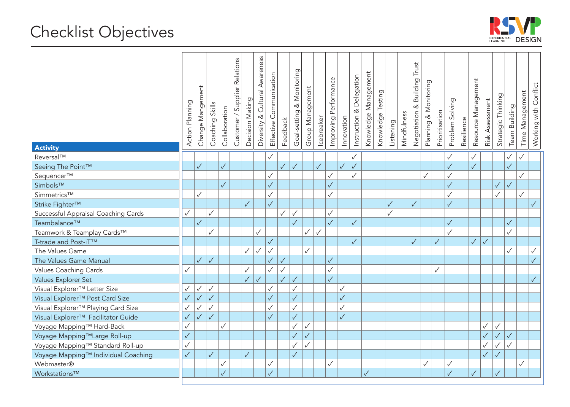

| <b>Activity</b>                                | Action Planning | Change Mangement | Skills<br>Coaching <sup>'</sup> | Collaboration | Customer / Supplier Relations | Decision Making | Cultural Awareness<br>Diversity & | Effective Communication | Feedback     | & Monitoring<br>Goal-setting | Group Management | Icebreaker   | Performance<br>Improving | Innovation   | Instruction & Delegation | Knowledge Management | Knowledge Testing | Listening    | Mindfulness | Trust<br>Building<br>Negotiation & | Planning & Monitoring | Prioritisation | Problem Solving | Resilience | Resource Management | Risk Assessment | Strategic Thinking | Team Building | Time Management | Working with Conflict |
|------------------------------------------------|-----------------|------------------|---------------------------------|---------------|-------------------------------|-----------------|-----------------------------------|-------------------------|--------------|------------------------------|------------------|--------------|--------------------------|--------------|--------------------------|----------------------|-------------------|--------------|-------------|------------------------------------|-----------------------|----------------|-----------------|------------|---------------------|-----------------|--------------------|---------------|-----------------|-----------------------|
| Reversal™                                      |                 |                  |                                 |               |                               |                 |                                   | $\checkmark$            |              |                              |                  |              |                          |              | $\checkmark$             |                      |                   |              |             |                                    |                       |                | $\checkmark$    |            | $\checkmark$        |                 |                    | $\checkmark$  | $\checkmark$    |                       |
| Seeing The Point™                              |                 | $\checkmark$     |                                 | $\checkmark$  |                               |                 |                                   |                         | $\checkmark$ | $\sqrt{}$                    |                  | $\checkmark$ |                          | $\sqrt{}$    | $\sqrt{}$                |                      |                   |              |             |                                    |                       |                | $\checkmark$    |            | $\checkmark$        |                 |                    | $\checkmark$  |                 |                       |
| Sequencer™                                     |                 |                  |                                 |               |                               |                 |                                   | $\checkmark$            |              |                              |                  |              | $\checkmark$             |              | ✓                        |                      |                   |              |             |                                    | $\checkmark$          |                | √               |            |                     |                 |                    |               |                 |                       |
| Simbols™                                       |                 |                  |                                 | $\sqrt{}$     |                               |                 |                                   | $\sqrt{}$               |              |                              |                  |              | $\checkmark$             |              |                          |                      |                   |              |             |                                    |                       |                | $\checkmark$    |            |                     |                 | $\checkmark$       | $\checkmark$  |                 |                       |
| Simmetrics™                                    |                 | $\checkmark$     |                                 |               |                               |                 |                                   | $\checkmark$            |              |                              |                  |              | ✓                        |              |                          |                      |                   |              |             |                                    |                       |                |                 |            |                     |                 | $\checkmark$       |               | $\checkmark$    |                       |
| Strike Fighter™                                |                 |                  |                                 |               |                               | $\checkmark$    |                                   | $\sqrt{}$               |              |                              |                  |              |                          |              |                          |                      |                   | $\checkmark$ |             | $\checkmark$                       |                       |                | $\checkmark$    |            |                     |                 |                    |               |                 | $\checkmark$          |
| Successful Appraisal Coaching Cards            |                 |                  | $\checkmark$                    |               |                               |                 |                                   |                         |              | $\checkmark$                 |                  |              | $\checkmark$             |              |                          |                      |                   | $\checkmark$ |             |                                    |                       |                |                 |            |                     |                 |                    |               |                 |                       |
| Teambalance™                                   |                 | $\checkmark$     |                                 |               |                               |                 |                                   |                         |              | $\sqrt{}$                    |                  |              | $\checkmark$             |              | $\sqrt{}$                |                      |                   |              |             |                                    |                       |                | $\sqrt{}$       |            |                     |                 |                    | $\sqrt{}$     |                 |                       |
| Teamwork & Teamplay Cards™                     |                 |                  | $\checkmark$                    |               |                               |                 | $\checkmark$                      |                         |              |                              | $\checkmark$     | $\checkmark$ |                          |              |                          |                      |                   |              |             |                                    |                       |                | $\checkmark$    |            |                     |                 |                    | $\checkmark$  |                 |                       |
| T-trade and Post-iT™                           |                 |                  |                                 |               |                               |                 |                                   | $\checkmark$            |              |                              |                  |              |                          |              | $\sqrt{}$                |                      |                   |              |             | $\checkmark$                       |                       | $\checkmark$   |                 |            | $\checkmark$        | $\sqrt{}$       |                    |               |                 |                       |
| The Values Game                                |                 |                  |                                 |               |                               | $\checkmark$    | $\checkmark$                      | $\checkmark$            |              |                              | $\checkmark$     |              |                          |              |                          |                      |                   |              |             |                                    |                       |                |                 |            |                     |                 |                    | $\checkmark$  |                 | $\checkmark$          |
| The Values Game Manual                         |                 | $\checkmark$     | $\sqrt{2}$                      |               |                               |                 |                                   | $\sqrt{}$               | $\sqrt{}$    |                              |                  |              | $\sqrt{}$                |              |                          |                      |                   |              |             |                                    |                       |                |                 |            |                     |                 |                    |               |                 | $\checkmark$          |
| Values Coaching Cards                          |                 |                  |                                 |               |                               | $\checkmark$    |                                   | $\checkmark$            | $\checkmark$ |                              |                  |              | $\checkmark$             |              |                          |                      |                   |              |             |                                    |                       | $\checkmark$   |                 |            |                     |                 |                    |               |                 |                       |
| Values Explorer Set                            |                 |                  |                                 |               |                               | $\sqrt{}$       | $\checkmark$                      |                         | $\checkmark$ | $\sqrt{}$                    |                  |              | $\checkmark$             |              |                          |                      |                   |              |             |                                    |                       |                |                 |            |                     |                 |                    |               |                 | $\checkmark$          |
| Visual Explorer™ Letter Size                   |                 | $\checkmark$     | $\checkmark$                    |               |                               |                 |                                   | $\checkmark$            |              | $\checkmark$                 |                  |              |                          | $\checkmark$ |                          |                      |                   |              |             |                                    |                       |                |                 |            |                     |                 |                    |               |                 |                       |
| Visual Explorer <sup>™</sup> Post Card Size    | $\checkmark$    | $\checkmark$     | $\checkmark$                    |               |                               |                 |                                   | $\checkmark$            |              | $\sqrt{}$                    |                  |              |                          | $\sqrt{}$    |                          |                      |                   |              |             |                                    |                       |                |                 |            |                     |                 |                    |               |                 |                       |
| Visual Explorer <sup>™</sup> Playing Card Size |                 | $\checkmark$     | $\checkmark$                    |               |                               |                 |                                   | $\checkmark$            |              | $\checkmark$                 |                  |              |                          | $\checkmark$ |                          |                      |                   |              |             |                                    |                       |                |                 |            |                     |                 |                    |               |                 |                       |
| Visual Explorer <sup>™</sup> Facilitator Guide | $\checkmark$    | $\checkmark$     | $\checkmark$                    |               |                               |                 |                                   | $\sqrt{}$               |              | $\checkmark$                 |                  |              |                          | $\sqrt{}$    |                          |                      |                   |              |             |                                    |                       |                |                 |            |                     |                 |                    |               |                 |                       |
| Voyage Mapping™ Hard-Back                      |                 |                  |                                 | $\checkmark$  |                               |                 |                                   |                         |              | $\checkmark$                 | ✓                |              |                          |              |                          |                      |                   |              |             |                                    |                       |                |                 |            |                     | $\checkmark$    | $\checkmark$       |               |                 |                       |
| Voyage Mapping™Large Roll-up                   | $\checkmark$    |                  |                                 |               |                               |                 |                                   |                         |              | $\sqrt{}$                    | $\checkmark$     |              |                          |              |                          |                      |                   |              |             |                                    |                       |                |                 |            |                     | $\checkmark$    |                    | $\sqrt{}$     |                 |                       |
| Voyage Mapping™ Standard Roll-up               | $\checkmark$    |                  |                                 |               |                               |                 |                                   |                         |              | $\checkmark$                 | $\checkmark$     |              |                          |              |                          |                      |                   |              |             |                                    |                       |                |                 |            |                     | $\checkmark$    |                    | $\checkmark$  |                 |                       |
| Voyage Mapping™ Individual Coaching            | $\checkmark$    |                  | $\sqrt{}$                       |               |                               | $\sqrt{}$       |                                   |                         |              | $\sqrt{}$                    |                  |              |                          |              |                          |                      |                   |              |             |                                    |                       |                |                 |            |                     | $\checkmark$    |                    |               |                 |                       |
| Webmaster®                                     |                 |                  |                                 | $\checkmark$  |                               |                 |                                   | $\checkmark$            |              |                              |                  |              | ✓                        |              |                          |                      |                   |              |             |                                    | $\checkmark$          |                | $\checkmark$    |            |                     |                 |                    |               |                 |                       |
| Workstations™                                  |                 |                  |                                 | $\checkmark$  |                               |                 |                                   | $\sqrt{}$               |              |                              |                  |              |                          |              |                          | $\checkmark$         |                   |              |             |                                    |                       |                | $\checkmark$    |            | $\checkmark$        |                 | $\checkmark$       |               |                 |                       |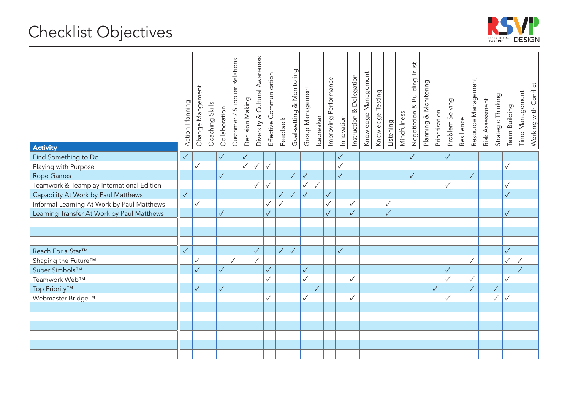

| <b>Activity</b>                            | Action Planning | Change Mangement | Skills<br>Coaching | Collaboration | Customer / Supplier Relations | Decision Making | Cultural Awareness<br>త<br>Diversity | Effective Communication | Feedback     | & Monitoring<br>Goal-setting | Group Management | Icebreaker   | Performance<br>Improving | Innovation   | & Delegation<br>Instruction | Knowledge Management | Knowledge Testing | Listening    | Mindfulness | Trust<br>Negotiation & Building | Planning & Monitoring | Prioritisation | Problem Solving | Resilience | Resource Management | Risk Assessment | Strategic Thinking | Team Building | Time Management | Working with Conflict |
|--------------------------------------------|-----------------|------------------|--------------------|---------------|-------------------------------|-----------------|--------------------------------------|-------------------------|--------------|------------------------------|------------------|--------------|--------------------------|--------------|-----------------------------|----------------------|-------------------|--------------|-------------|---------------------------------|-----------------------|----------------|-----------------|------------|---------------------|-----------------|--------------------|---------------|-----------------|-----------------------|
| Find Something to Do                       | $\checkmark$    |                  |                    | $\checkmark$  |                               | $\checkmark$    |                                      |                         |              |                              |                  |              |                          | $\checkmark$ |                             |                      |                   |              |             | $\checkmark$                    |                       |                | $\checkmark$    |            |                     |                 |                    |               |                 |                       |
| Playing with Purpose                       |                 | $\checkmark$     |                    |               |                               | $\checkmark$    | $\checkmark$                         | $\checkmark$            |              |                              |                  |              |                          | $\checkmark$ |                             |                      |                   |              |             |                                 |                       |                |                 |            |                     |                 |                    | $\checkmark$  |                 |                       |
| Rope Games                                 |                 |                  |                    | $\sqrt{}$     |                               |                 |                                      |                         |              | $\checkmark$                 | $\checkmark$     |              |                          | $\checkmark$ |                             |                      |                   |              |             | $\sqrt{}$                       |                       |                |                 |            | $\checkmark$        |                 |                    |               |                 |                       |
| Teamwork & Teamplay International Edition  |                 |                  |                    |               |                               |                 | $\checkmark$                         | $\checkmark$            |              |                              | $\checkmark$     | $\checkmark$ |                          |              |                             |                      |                   |              |             |                                 |                       |                | ✓               |            |                     |                 |                    | $\checkmark$  |                 |                       |
| Capability At Work by Paul Matthews        | $\checkmark$    |                  |                    |               |                               |                 |                                      |                         | $\checkmark$ | $\checkmark$                 | $\sqrt{}$        |              | $\checkmark$             |              |                             |                      |                   |              |             |                                 |                       |                |                 |            |                     |                 |                    | $\checkmark$  |                 |                       |
| Informal Learning At Work by Paul Matthews |                 | $\checkmark$     |                    |               |                               |                 |                                      | $\checkmark$            | $\checkmark$ |                              |                  |              | $\checkmark$             |              | $\checkmark$                |                      |                   | $\checkmark$ |             |                                 |                       |                |                 |            |                     |                 |                    |               |                 |                       |
| Learning Transfer At Work by Paul Matthews |                 |                  |                    | $\checkmark$  |                               |                 |                                      | $\sqrt{}$               |              |                              |                  |              | $\sqrt{}$                |              | $\sqrt{}$                   |                      |                   | $\checkmark$ |             |                                 |                       |                |                 |            |                     |                 |                    | $\checkmark$  |                 |                       |
|                                            |                 |                  |                    |               |                               |                 |                                      |                         |              |                              |                  |              |                          |              |                             |                      |                   |              |             |                                 |                       |                |                 |            |                     |                 |                    |               |                 |                       |
|                                            |                 |                  |                    |               |                               |                 |                                      |                         |              |                              |                  |              |                          |              |                             |                      |                   |              |             |                                 |                       |                |                 |            |                     |                 |                    |               |                 |                       |
|                                            |                 |                  |                    |               |                               |                 |                                      |                         |              |                              |                  |              |                          |              |                             |                      |                   |              |             |                                 |                       |                |                 |            |                     |                 |                    |               |                 |                       |
| Reach For a Star™                          | $\checkmark$    |                  |                    |               |                               |                 | $\checkmark$                         |                         | $\checkmark$ | $\checkmark$                 |                  |              |                          | $\checkmark$ |                             |                      |                   |              |             |                                 |                       |                |                 |            |                     |                 |                    | $\sqrt{}$     |                 |                       |
| Shaping the Future™                        |                 | $\checkmark$     |                    |               | $\checkmark$                  |                 | $\checkmark$                         |                         |              |                              |                  |              |                          |              |                             |                      |                   |              |             |                                 |                       |                |                 |            | $\checkmark$        |                 |                    | $\checkmark$  | $\checkmark$    |                       |
| Super Simbols™                             |                 | $\checkmark$     |                    | $\sqrt{}$     |                               |                 |                                      | $\sqrt{}$               |              |                              | $\checkmark$     |              |                          |              |                             |                      |                   |              |             |                                 |                       |                | $\sqrt{}$       |            |                     |                 |                    |               | $\checkmark$    |                       |
| Teamwork Web™                              |                 |                  |                    |               |                               |                 |                                      | $\checkmark$            |              |                              | $\checkmark$     |              |                          |              | $\checkmark$                |                      |                   |              |             |                                 |                       |                | ✓               |            | $\checkmark$        |                 |                    | $\checkmark$  |                 |                       |
| Top Priority™                              |                 | $\checkmark$     |                    | $\checkmark$  |                               |                 |                                      |                         |              |                              |                  | $\checkmark$ |                          |              |                             |                      |                   |              |             |                                 |                       | $\sqrt{}$      |                 |            | $\checkmark$        |                 | $\checkmark$       |               |                 |                       |
| Webmaster Bridge™                          |                 |                  |                    |               |                               |                 |                                      | $\checkmark$            |              |                              | $\checkmark$     |              |                          |              | $\checkmark$                |                      |                   |              |             |                                 |                       |                | $\checkmark$    |            |                     |                 | $\checkmark$       | $\checkmark$  |                 |                       |
|                                            |                 |                  |                    |               |                               |                 |                                      |                         |              |                              |                  |              |                          |              |                             |                      |                   |              |             |                                 |                       |                |                 |            |                     |                 |                    |               |                 |                       |
|                                            |                 |                  |                    |               |                               |                 |                                      |                         |              |                              |                  |              |                          |              |                             |                      |                   |              |             |                                 |                       |                |                 |            |                     |                 |                    |               |                 |                       |
|                                            |                 |                  |                    |               |                               |                 |                                      |                         |              |                              |                  |              |                          |              |                             |                      |                   |              |             |                                 |                       |                |                 |            |                     |                 |                    |               |                 |                       |
|                                            |                 |                  |                    |               |                               |                 |                                      |                         |              |                              |                  |              |                          |              |                             |                      |                   |              |             |                                 |                       |                |                 |            |                     |                 |                    |               |                 |                       |
|                                            |                 |                  |                    |               |                               |                 |                                      |                         |              |                              |                  |              |                          |              |                             |                      |                   |              |             |                                 |                       |                |                 |            |                     |                 |                    |               |                 |                       |
|                                            |                 |                  |                    |               |                               |                 |                                      |                         |              |                              |                  |              |                          |              |                             |                      |                   |              |             |                                 |                       |                |                 |            |                     |                 |                    |               |                 |                       |